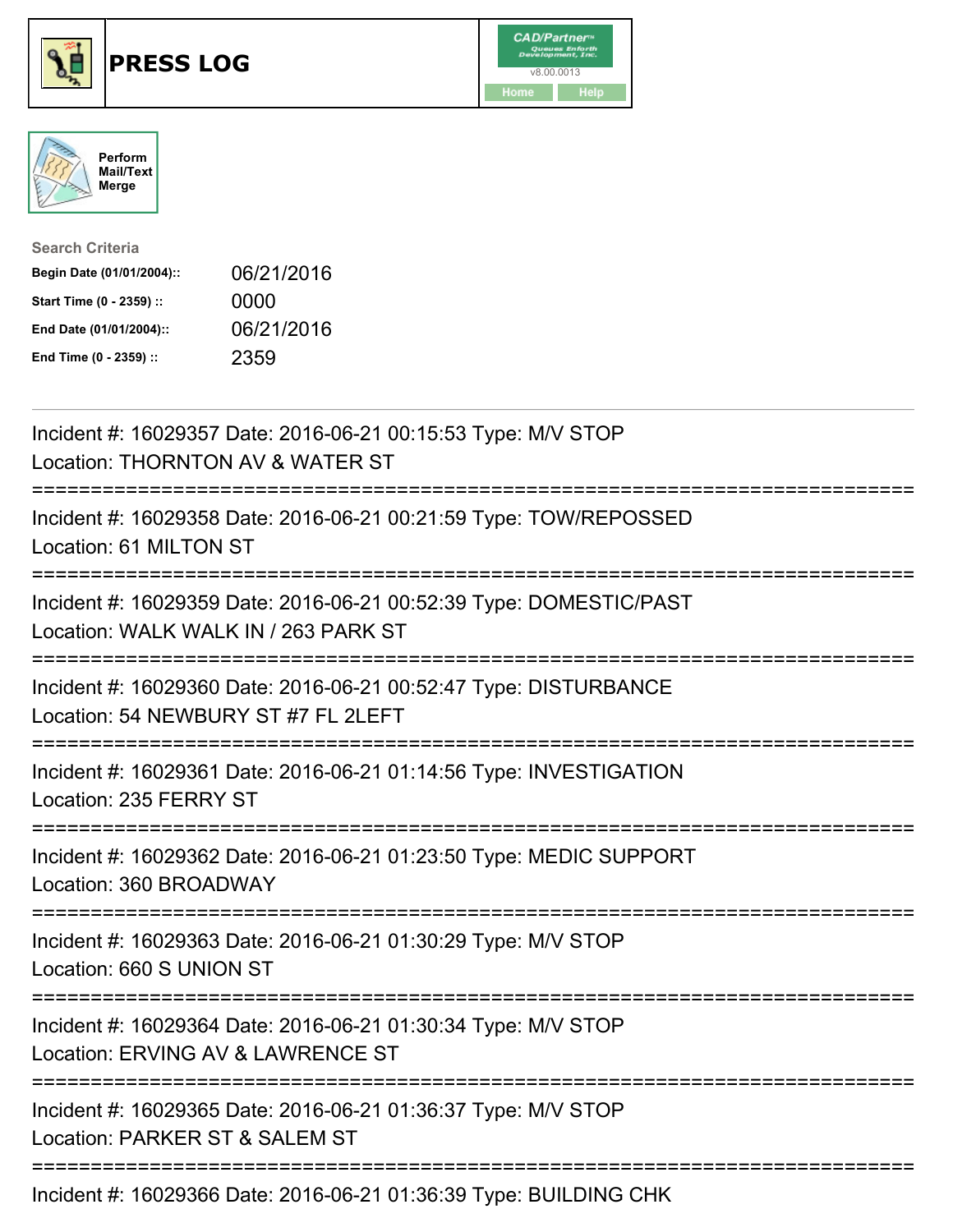





| <b>Search Criteria</b>    |            |
|---------------------------|------------|
| Begin Date (01/01/2004):: | 06/21/2016 |
| Start Time (0 - 2359) ::  | 0000       |
| End Date (01/01/2004)::   | 06/21/2016 |
| End Time (0 - 2359) ::    | 2359       |

| Incident #: 16029357 Date: 2016-06-21 00:15:53 Type: M/V STOP<br>Location: THORNTON AV & WATER ST                      |
|------------------------------------------------------------------------------------------------------------------------|
| Incident #: 16029358 Date: 2016-06-21 00:21:59 Type: TOW/REPOSSED<br>Location: 61 MILTON ST                            |
| Incident #: 16029359 Date: 2016-06-21 00:52:39 Type: DOMESTIC/PAST<br>Location: WALK WALK IN / 263 PARK ST             |
| Incident #: 16029360 Date: 2016-06-21 00:52:47 Type: DISTURBANCE<br>Location: 54 NEWBURY ST #7 FL 2LEFT                |
| Incident #: 16029361 Date: 2016-06-21 01:14:56 Type: INVESTIGATION<br>Location: 235 FERRY ST                           |
| Incident #: 16029362 Date: 2016-06-21 01:23:50 Type: MEDIC SUPPORT<br>Location: 360 BROADWAY<br>====================== |
| Incident #: 16029363 Date: 2016-06-21 01:30:29 Type: M/V STOP<br>Location: 660 S UNION ST                              |
| Incident #: 16029364 Date: 2016-06-21 01:30:34 Type: M/V STOP<br>Location: ERVING AV & LAWRENCE ST                     |
| Incident #: 16029365 Date: 2016-06-21 01:36:37 Type: M/V STOP<br>Location: PARKER ST & SALEM ST                        |
| Incident #: 16029366 Date: 2016-06-21 01:36:39 Type: BUILDING CHK                                                      |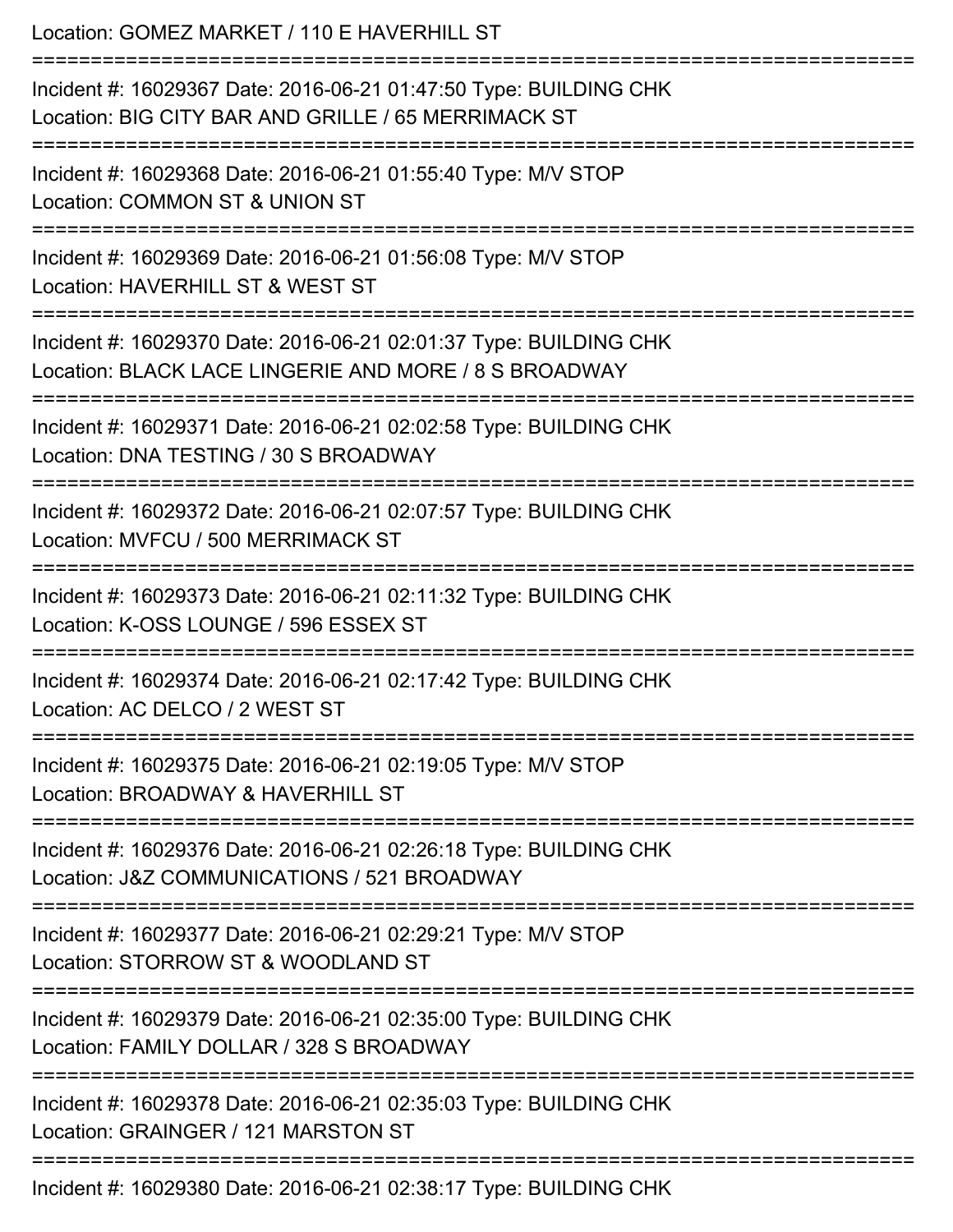| Location: GOMEZ MARKET / 110 E HAVERHILL ST<br>============================                                                               |
|-------------------------------------------------------------------------------------------------------------------------------------------|
| Incident #: 16029367 Date: 2016-06-21 01:47:50 Type: BUILDING CHK<br>Location: BIG CITY BAR AND GRILLE / 65 MERRIMACK ST                  |
| Incident #: 16029368 Date: 2016-06-21 01:55:40 Type: M/V STOP<br>Location: COMMON ST & UNION ST                                           |
| Incident #: 16029369 Date: 2016-06-21 01:56:08 Type: M/V STOP<br>Location: HAVERHILL ST & WEST ST<br>-------------------                  |
| Incident #: 16029370 Date: 2016-06-21 02:01:37 Type: BUILDING CHK<br>Location: BLACK LACE LINGERIE AND MORE / 8 S BROADWAY                |
| Incident #: 16029371 Date: 2016-06-21 02:02:58 Type: BUILDING CHK<br>Location: DNA TESTING / 30 S BROADWAY                                |
| ==============================<br>Incident #: 16029372 Date: 2016-06-21 02:07:57 Type: BUILDING CHK<br>Location: MVFCU / 500 MERRIMACK ST |
| Incident #: 16029373 Date: 2016-06-21 02:11:32 Type: BUILDING CHK<br>Location: K-OSS LOUNGE / 596 ESSEX ST                                |
| Incident #: 16029374 Date: 2016-06-21 02:17:42 Type: BUILDING CHK<br>Location: AC DELCO / 2 WEST ST                                       |
| Incident #: 16029375 Date: 2016-06-21 02:19:05 Type: M/V STOP<br>Location: BROADWAY & HAVERHILL ST                                        |
| Incident #: 16029376 Date: 2016-06-21 02:26:18 Type: BUILDING CHK<br>Location: J&Z COMMUNICATIONS / 521 BROADWAY                          |
| Incident #: 16029377 Date: 2016-06-21 02:29:21 Type: M/V STOP<br>Location: STORROW ST & WOODLAND ST                                       |
| Incident #: 16029379 Date: 2016-06-21 02:35:00 Type: BUILDING CHK<br>Location: FAMILY DOLLAR / 328 S BROADWAY                             |
| Incident #: 16029378 Date: 2016-06-21 02:35:03 Type: BUILDING CHK<br>Location: GRAINGER / 121 MARSTON ST                                  |
| Incident #: 16029380 Date: 2016-06-21 02:38:17 Type: BUILDING CHK                                                                         |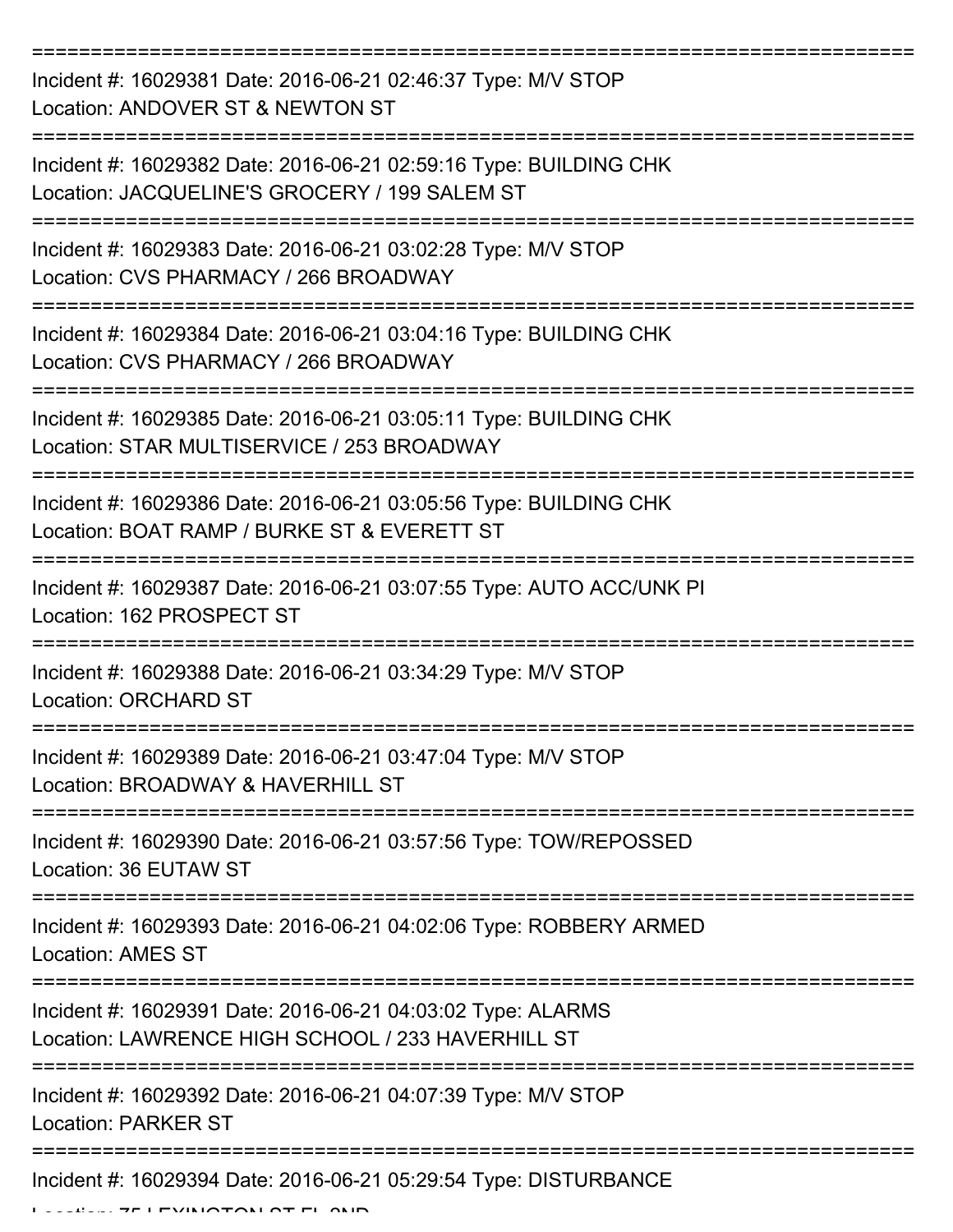| Incident #: 16029381 Date: 2016-06-21 02:46:37 Type: M/V STOP<br>Location: ANDOVER ST & NEWTON ST                  |
|--------------------------------------------------------------------------------------------------------------------|
| Incident #: 16029382 Date: 2016-06-21 02:59:16 Type: BUILDING CHK<br>Location: JACQUELINE'S GROCERY / 199 SALEM ST |
| Incident #: 16029383 Date: 2016-06-21 03:02:28 Type: M/V STOP<br>Location: CVS PHARMACY / 266 BROADWAY             |
| Incident #: 16029384 Date: 2016-06-21 03:04:16 Type: BUILDING CHK<br>Location: CVS PHARMACY / 266 BROADWAY         |
| Incident #: 16029385 Date: 2016-06-21 03:05:11 Type: BUILDING CHK<br>Location: STAR MULTISERVICE / 253 BROADWAY    |
| Incident #: 16029386 Date: 2016-06-21 03:05:56 Type: BUILDING CHK<br>Location: BOAT RAMP / BURKE ST & EVERETT ST   |
| Incident #: 16029387 Date: 2016-06-21 03:07:55 Type: AUTO ACC/UNK PI<br>Location: 162 PROSPECT ST                  |
| Incident #: 16029388 Date: 2016-06-21 03:34:29 Type: M/V STOP<br><b>Location: ORCHARD ST</b>                       |
| Incident #: 16029389 Date: 2016-06-21 03:47:04 Type: M/V STOP<br>Location: BROADWAY & HAVERHILL ST                 |
| Incident #: 16029390 Date: 2016-06-21 03:57:56 Type: TOW/REPOSSED<br>Location: 36 EUTAW ST                         |
| Incident #: 16029393 Date: 2016-06-21 04:02:06 Type: ROBBERY ARMED<br><b>Location: AMES ST</b>                     |
| Incident #: 16029391 Date: 2016-06-21 04:03:02 Type: ALARMS<br>Location: LAWRENCE HIGH SCHOOL / 233 HAVERHILL ST   |
| Incident #: 16029392 Date: 2016-06-21 04:07:39 Type: M/V STOP<br><b>Location: PARKER ST</b>                        |
| Incident #: 16029394 Date: 2016-06-21 05:29:54 Type: DISTURBANCE                                                   |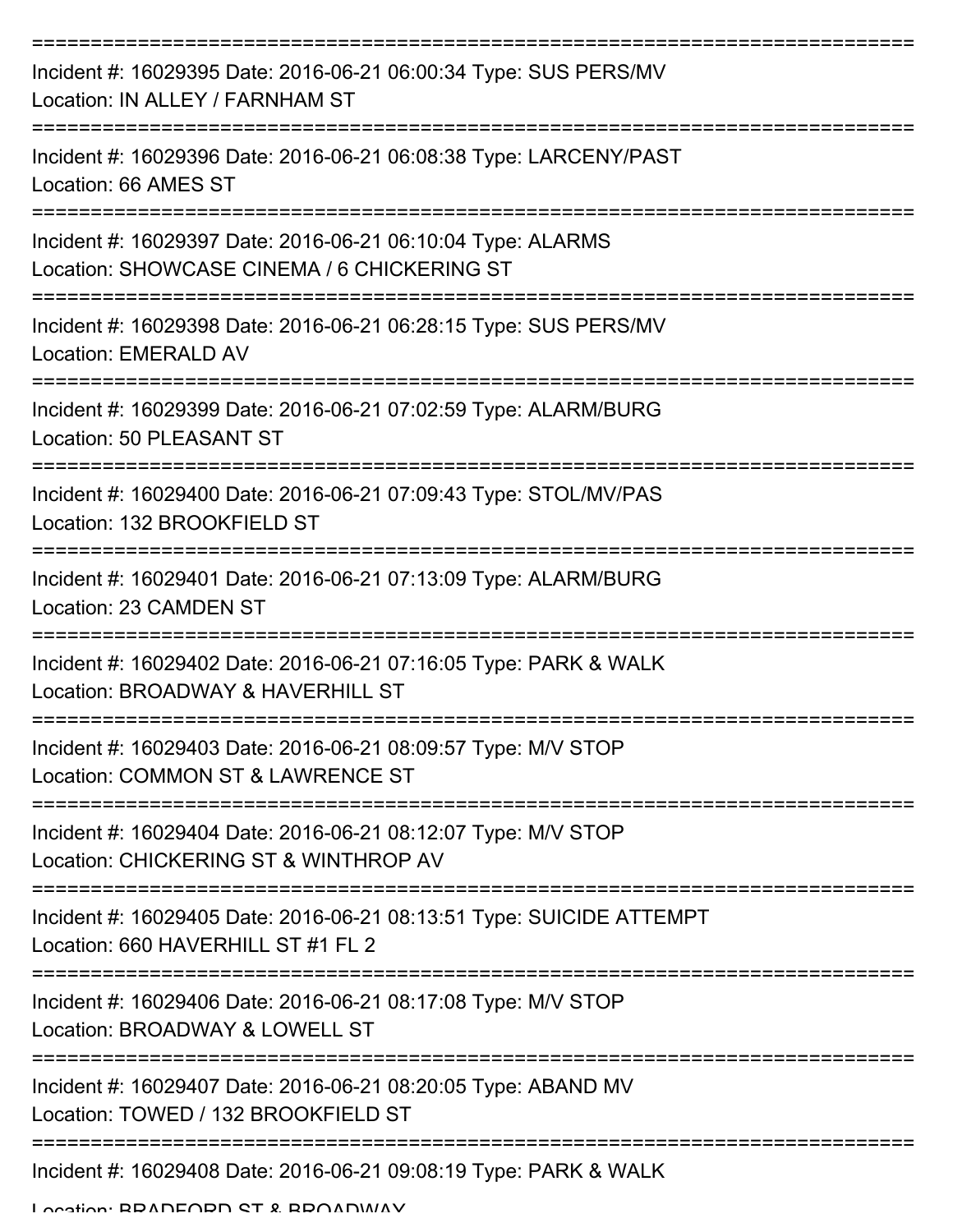| Incident #: 16029395 Date: 2016-06-21 06:00:34 Type: SUS PERS/MV<br>Location: IN ALLEY / FARNHAM ST                                  |
|--------------------------------------------------------------------------------------------------------------------------------------|
| Incident #: 16029396 Date: 2016-06-21 06:08:38 Type: LARCENY/PAST<br>Location: 66 AMES ST                                            |
| Incident #: 16029397 Date: 2016-06-21 06:10:04 Type: ALARMS<br>Location: SHOWCASE CINEMA / 6 CHICKERING ST                           |
| Incident #: 16029398 Date: 2016-06-21 06:28:15 Type: SUS PERS/MV<br>Location: EMERALD AV                                             |
| Incident #: 16029399 Date: 2016-06-21 07:02:59 Type: ALARM/BURG<br>Location: 50 PLEASANT ST                                          |
| =================================<br>Incident #: 16029400 Date: 2016-06-21 07:09:43 Type: STOL/MV/PAS<br>Location: 132 BROOKFIELD ST |
| Incident #: 16029401 Date: 2016-06-21 07:13:09 Type: ALARM/BURG<br>Location: 23 CAMDEN ST                                            |
| Incident #: 16029402 Date: 2016-06-21 07:16:05 Type: PARK & WALK<br>Location: BROADWAY & HAVERHILL ST                                |
| Incident #: 16029403 Date: 2016-06-21 08:09:57 Type: M/V STOP<br>Location: COMMON ST & LAWRENCE ST                                   |
| Incident #: 16029404 Date: 2016-06-21 08:12:07 Type: M/V STOP<br>Location: CHICKERING ST & WINTHROP AV                               |
| Incident #: 16029405 Date: 2016-06-21 08:13:51 Type: SUICIDE ATTEMPT<br>Location: 660 HAVERHILL ST #1 FL 2                           |
| Incident #: 16029406 Date: 2016-06-21 08:17:08 Type: M/V STOP<br>Location: BROADWAY & LOWELL ST                                      |
| Incident #: 16029407 Date: 2016-06-21 08:20:05 Type: ABAND MV<br>Location: TOWED / 132 BROOKFIELD ST                                 |
| Incident #: 16029408 Date: 2016-06-21 09:08:19 Type: PARK & WALK                                                                     |

Location: BRADFORD ST & BROADWAY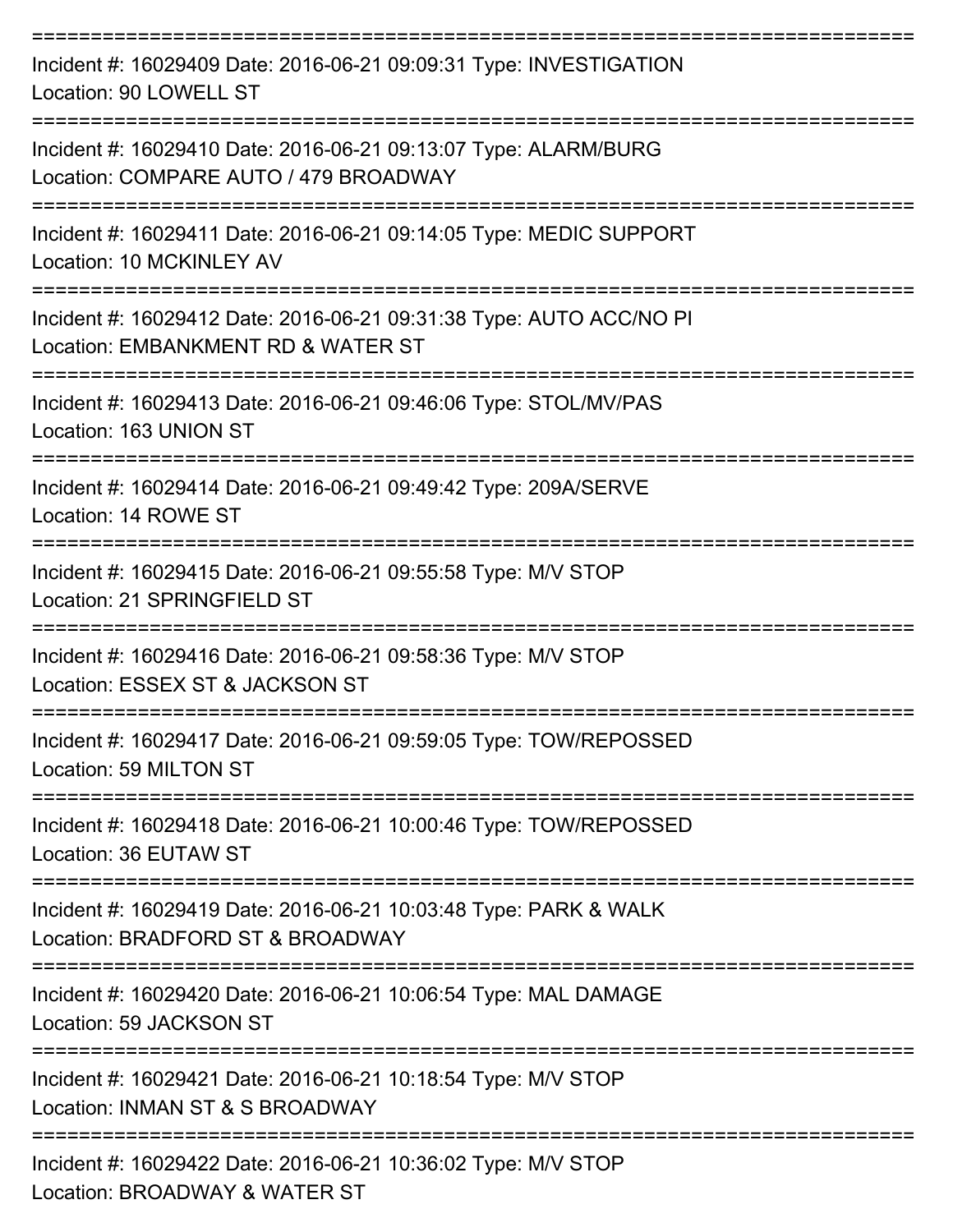| Incident #: 16029409 Date: 2016-06-21 09:09:31 Type: INVESTIGATION<br>Location: 90 LOWELL ST              |
|-----------------------------------------------------------------------------------------------------------|
| Incident #: 16029410 Date: 2016-06-21 09:13:07 Type: ALARM/BURG<br>Location: COMPARE AUTO / 479 BROADWAY  |
| Incident #: 16029411 Date: 2016-06-21 09:14:05 Type: MEDIC SUPPORT<br>Location: 10 MCKINLEY AV            |
| Incident #: 16029412 Date: 2016-06-21 09:31:38 Type: AUTO ACC/NO PI<br>Location: EMBANKMENT RD & WATER ST |
| Incident #: 16029413 Date: 2016-06-21 09:46:06 Type: STOL/MV/PAS<br>Location: 163 UNION ST                |
| Incident #: 16029414 Date: 2016-06-21 09:49:42 Type: 209A/SERVE<br>Location: 14 ROWE ST                   |
| Incident #: 16029415 Date: 2016-06-21 09:55:58 Type: M/V STOP<br>Location: 21 SPRINGFIELD ST              |
| Incident #: 16029416 Date: 2016-06-21 09:58:36 Type: M/V STOP<br>Location: ESSEX ST & JACKSON ST          |
| Incident #: 16029417 Date: 2016-06-21 09:59:05 Type: TOW/REPOSSED<br>Location: 59 MILTON ST               |
| Incident #: 16029418 Date: 2016-06-21 10:00:46 Type: TOW/REPOSSED<br>Location: 36 EUTAW ST                |
| Incident #: 16029419 Date: 2016-06-21 10:03:48 Type: PARK & WALK<br>Location: BRADFORD ST & BROADWAY      |
| Incident #: 16029420 Date: 2016-06-21 10:06:54 Type: MAL DAMAGE<br>Location: 59 JACKSON ST                |
| Incident #: 16029421 Date: 2016-06-21 10:18:54 Type: M/V STOP<br>Location: INMAN ST & S BROADWAY          |
| Incident #: 16029422 Date: 2016-06-21 10:36:02 Type: M/V STOP<br>Location: BROADWAY & WATER ST            |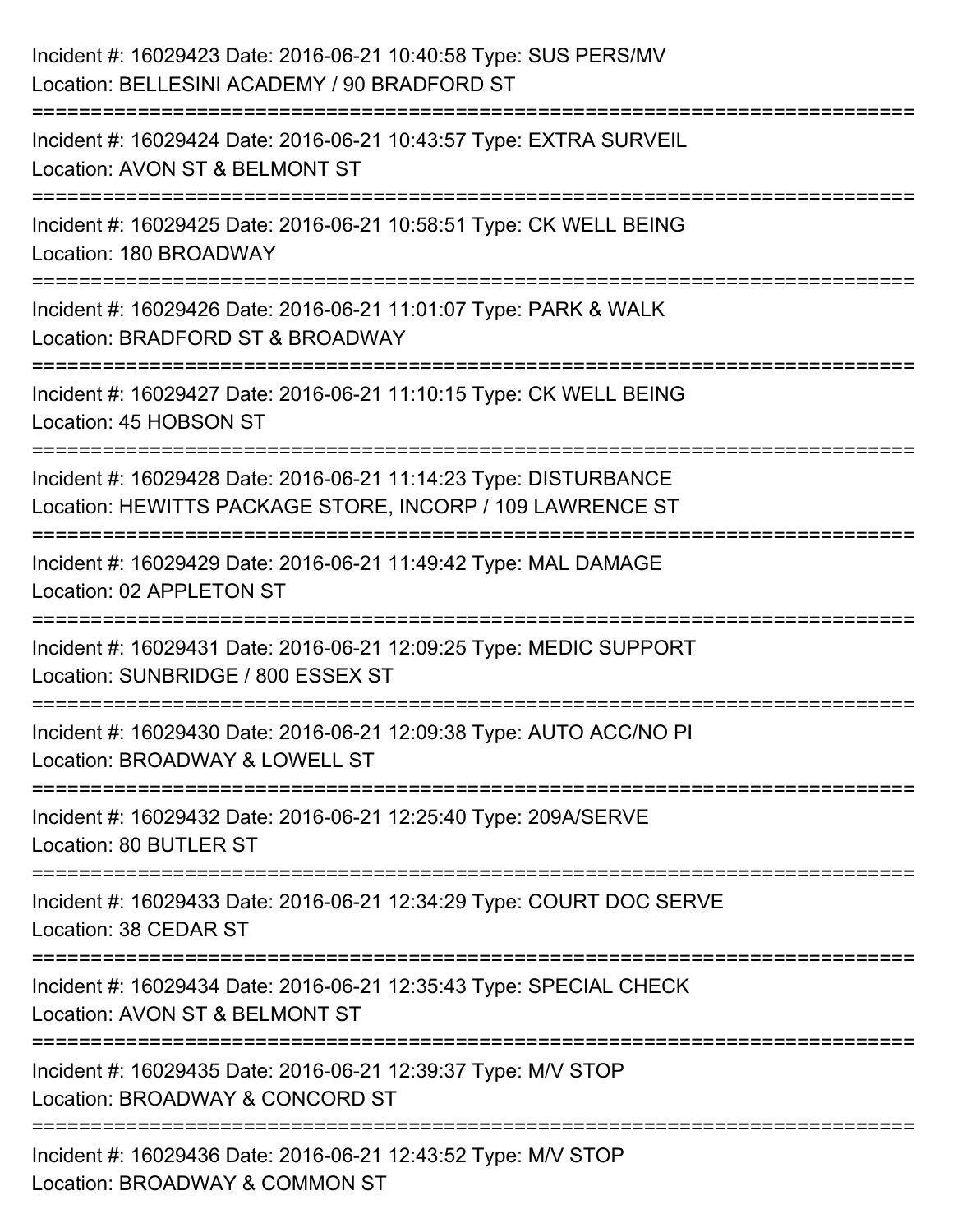| Incident #: 16029423 Date: 2016-06-21 10:40:58 Type: SUS PERS/MV<br>Location: BELLESINI ACADEMY / 90 BRADFORD ST                             |
|----------------------------------------------------------------------------------------------------------------------------------------------|
| ====================================<br>Incident #: 16029424 Date: 2016-06-21 10:43:57 Type: EXTRA SURVEIL<br>Location: AVON ST & BELMONT ST |
| Incident #: 16029425 Date: 2016-06-21 10:58:51 Type: CK WELL BEING<br>Location: 180 BROADWAY<br>===============================              |
| Incident #: 16029426 Date: 2016-06-21 11:01:07 Type: PARK & WALK<br>Location: BRADFORD ST & BROADWAY<br>----------------------               |
| Incident #: 16029427 Date: 2016-06-21 11:10:15 Type: CK WELL BEING<br>Location: 45 HOBSON ST                                                 |
| Incident #: 16029428 Date: 2016-06-21 11:14:23 Type: DISTURBANCE<br>Location: HEWITTS PACKAGE STORE, INCORP / 109 LAWRENCE ST                |
| Incident #: 16029429 Date: 2016-06-21 11:49:42 Type: MAL DAMAGE<br>Location: 02 APPLETON ST                                                  |
| Incident #: 16029431 Date: 2016-06-21 12:09:25 Type: MEDIC SUPPORT<br>Location: SUNBRIDGE / 800 ESSEX ST                                     |
| Incident #: 16029430 Date: 2016-06-21 12:09:38 Type: AUTO ACC/NO PI<br>Location: BROADWAY & LOWELL ST                                        |
| Incident #: 16029432 Date: 2016-06-21 12:25:40 Type: 209A/SERVE<br>Location: 80 BUTLER ST                                                    |
| Incident #: 16029433 Date: 2016-06-21 12:34:29 Type: COURT DOC SERVE<br>Location: 38 CEDAR ST                                                |
| Incident #: 16029434 Date: 2016-06-21 12:35:43 Type: SPECIAL CHECK<br>Location: AVON ST & BELMONT ST                                         |
| Incident #: 16029435 Date: 2016-06-21 12:39:37 Type: M/V STOP<br>Location: BROADWAY & CONCORD ST                                             |
| ------------------------<br>Incident #: 16029436 Date: 2016-06-21 12:43:52 Type: M/V STOP<br>Location: BROADWAY & COMMON ST                  |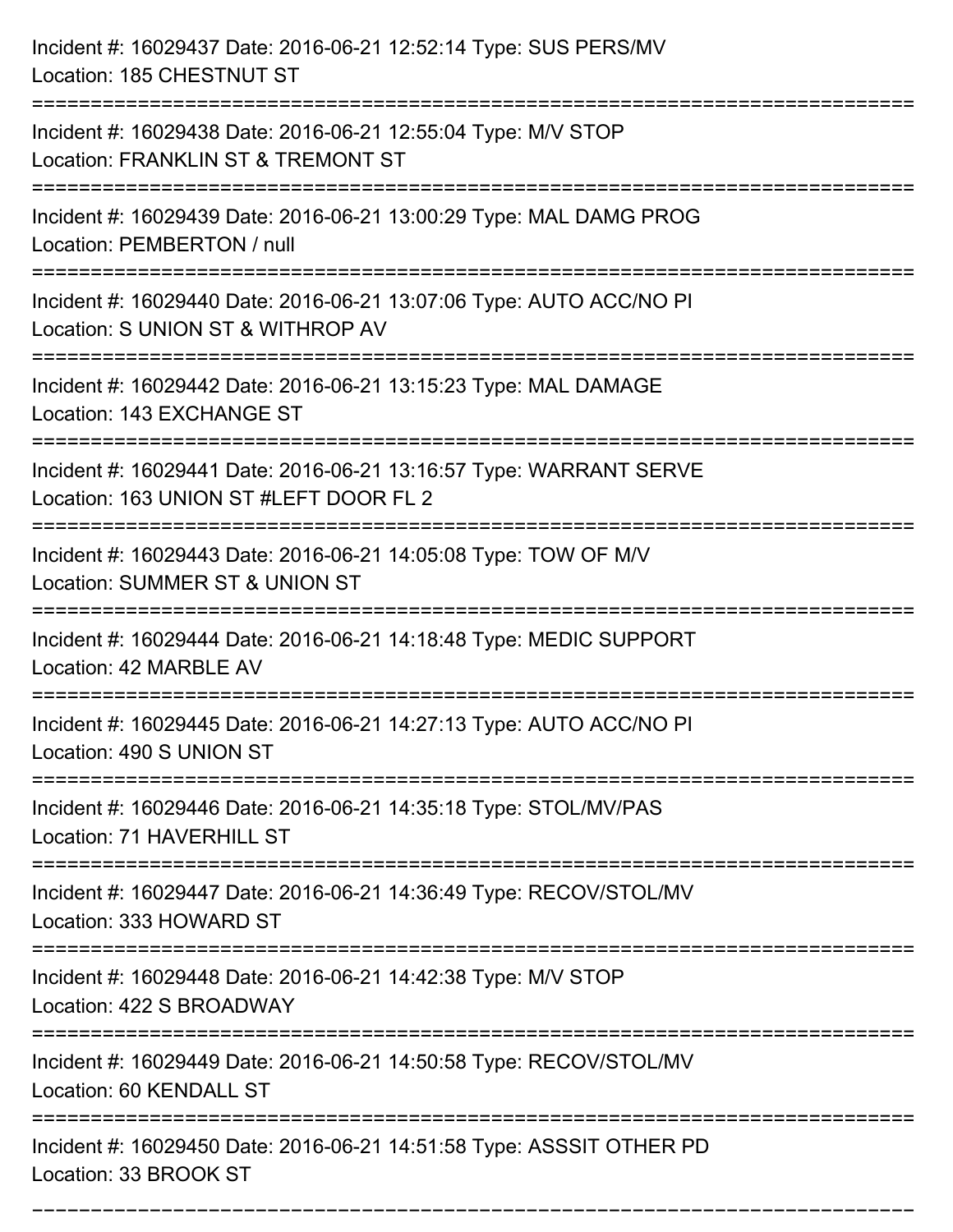| Incident #: 16029437 Date: 2016-06-21 12:52:14 Type: SUS PERS/MV<br>Location: 185 CHESTNUT ST                                             |
|-------------------------------------------------------------------------------------------------------------------------------------------|
| Incident #: 16029438 Date: 2016-06-21 12:55:04 Type: M/V STOP<br>Location: FRANKLIN ST & TREMONT ST                                       |
| Incident #: 16029439 Date: 2016-06-21 13:00:29 Type: MAL DAMG PROG<br>Location: PEMBERTON / null<br>==================================    |
| Incident #: 16029440 Date: 2016-06-21 13:07:06 Type: AUTO ACC/NO PI<br>Location: S UNION ST & WITHROP AV                                  |
| Incident #: 16029442 Date: 2016-06-21 13:15:23 Type: MAL DAMAGE<br>Location: 143 EXCHANGE ST<br>:================================         |
| Incident #: 16029441 Date: 2016-06-21 13:16:57 Type: WARRANT SERVE<br>Location: 163 UNION ST #LEFT DOOR FL 2<br>========================= |
| Incident #: 16029443 Date: 2016-06-21 14:05:08 Type: TOW OF M/V<br>Location: SUMMER ST & UNION ST                                         |
| Incident #: 16029444 Date: 2016-06-21 14:18:48 Type: MEDIC SUPPORT<br>Location: 42 MARBLE AV                                              |
| Incident #: 16029445 Date: 2016-06-21 14:27:13 Type: AUTO ACC/NO PI<br>Location: 490 S UNION ST                                           |
| Incident #: 16029446 Date: 2016-06-21 14:35:18 Type: STOL/MV/PAS<br>Location: 71 HAVERHILL ST                                             |
| Incident #: 16029447 Date: 2016-06-21 14:36:49 Type: RECOV/STOL/MV<br>Location: 333 HOWARD ST                                             |
| Incident #: 16029448 Date: 2016-06-21 14:42:38 Type: M/V STOP<br>Location: 422 S BROADWAY                                                 |
| Incident #: 16029449 Date: 2016-06-21 14:50:58 Type: RECOV/STOL/MV<br>Location: 60 KENDALL ST                                             |
| Incident #: 16029450 Date: 2016-06-21 14:51:58 Type: ASSSIT OTHER PD<br>Location: 33 BROOK ST                                             |

===========================================================================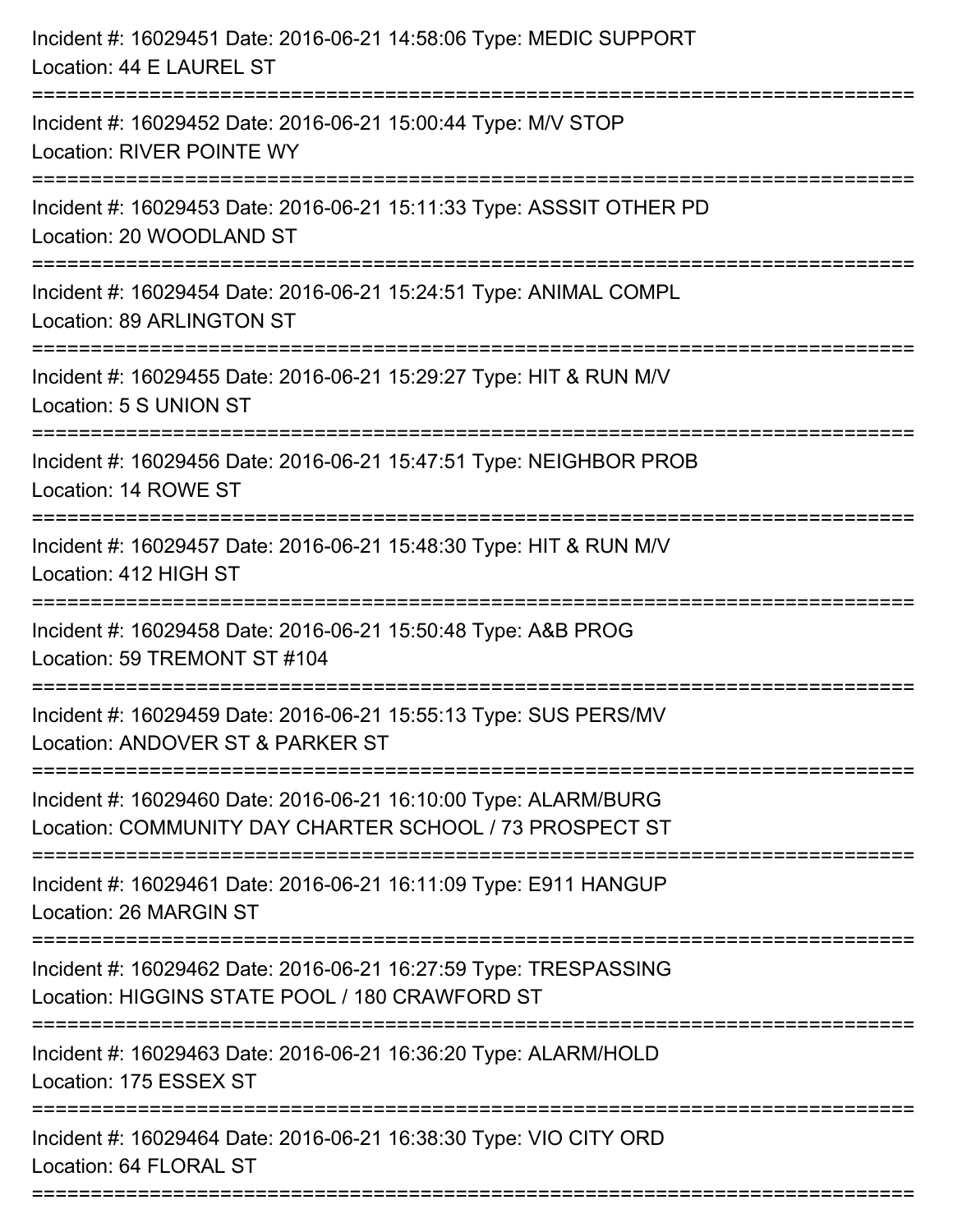| Incident #: 16029451 Date: 2016-06-21 14:58:06 Type: MEDIC SUPPORT<br>Location: 44 E LAUREL ST                                |
|-------------------------------------------------------------------------------------------------------------------------------|
| Incident #: 16029452 Date: 2016-06-21 15:00:44 Type: M/V STOP<br>Location: RIVER POINTE WY                                    |
| Incident #: 16029453 Date: 2016-06-21 15:11:33 Type: ASSSIT OTHER PD<br>Location: 20 WOODLAND ST                              |
| Incident #: 16029454 Date: 2016-06-21 15:24:51 Type: ANIMAL COMPL<br>Location: 89 ARLINGTON ST                                |
| Incident #: 16029455 Date: 2016-06-21 15:29:27 Type: HIT & RUN M/V<br>Location: 5 S UNION ST                                  |
| Incident #: 16029456 Date: 2016-06-21 15:47:51 Type: NEIGHBOR PROB<br>Location: 14 ROWE ST                                    |
| Incident #: 16029457 Date: 2016-06-21 15:48:30 Type: HIT & RUN M/V<br>Location: 412 HIGH ST                                   |
| Incident #: 16029458 Date: 2016-06-21 15:50:48 Type: A&B PROG<br>Location: 59 TREMONT ST #104                                 |
| Incident #: 16029459 Date: 2016-06-21 15:55:13 Type: SUS PERS/MV<br>Location: ANDOVER ST & PARKER ST                          |
| Incident #: 16029460 Date: 2016-06-21 16:10:00 Type: ALARM/BURG<br>Location: COMMUNITY DAY CHARTER SCHOOL / 73 PROSPECT ST    |
| ===============================<br>Incident #: 16029461 Date: 2016-06-21 16:11:09 Type: E911 HANGUP<br>Location: 26 MARGIN ST |
| Incident #: 16029462 Date: 2016-06-21 16:27:59 Type: TRESPASSING<br>Location: HIGGINS STATE POOL / 180 CRAWFORD ST            |
| Incident #: 16029463 Date: 2016-06-21 16:36:20 Type: ALARM/HOLD<br>Location: 175 ESSEX ST                                     |
| Incident #: 16029464 Date: 2016-06-21 16:38:30 Type: VIO CITY ORD<br>Location: 64 FLORAL ST                                   |
|                                                                                                                               |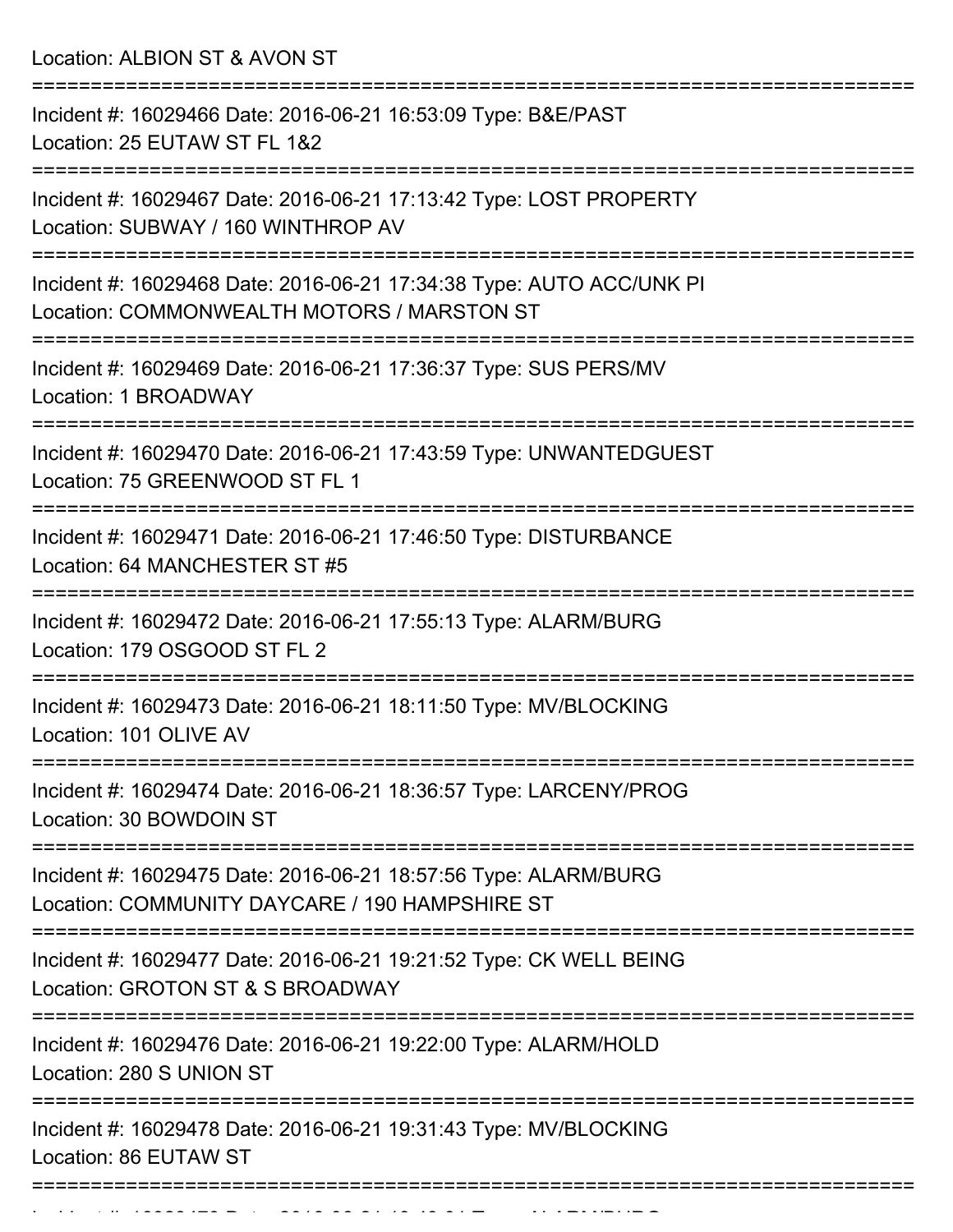Location: ALBION ST & AVON ST

| Incident #: 16029466 Date: 2016-06-21 16:53:09 Type: B&E/PAST<br>Location: 25 EUTAW ST FL 1&2                      |
|--------------------------------------------------------------------------------------------------------------------|
| Incident #: 16029467 Date: 2016-06-21 17:13:42 Type: LOST PROPERTY<br>Location: SUBWAY / 160 WINTHROP AV           |
| Incident #: 16029468 Date: 2016-06-21 17:34:38 Type: AUTO ACC/UNK PI<br>Location: COMMONWEALTH MOTORS / MARSTON ST |
| Incident #: 16029469 Date: 2016-06-21 17:36:37 Type: SUS PERS/MV<br>Location: 1 BROADWAY                           |
| Incident #: 16029470 Date: 2016-06-21 17:43:59 Type: UNWANTEDGUEST<br>Location: 75 GREENWOOD ST FL 1               |
| Incident #: 16029471 Date: 2016-06-21 17:46:50 Type: DISTURBANCE<br>Location: 64 MANCHESTER ST #5                  |
| Incident #: 16029472 Date: 2016-06-21 17:55:13 Type: ALARM/BURG<br>Location: 179 OSGOOD ST FL 2                    |
| Incident #: 16029473 Date: 2016-06-21 18:11:50 Type: MV/BLOCKING<br>Location: 101 OLIVE AV                         |
| Incident #: 16029474 Date: 2016-06-21 18:36:57 Type: LARCENY/PROG<br>Location: 30 BOWDOIN ST                       |
| Incident #: 16029475 Date: 2016-06-21 18:57:56 Type: ALARM/BURG<br>Location: COMMUNITY DAYCARE / 190 HAMPSHIRE ST  |
| Incident #: 16029477 Date: 2016-06-21 19:21:52 Type: CK WELL BEING<br>Location: GROTON ST & S BROADWAY             |
| Incident #: 16029476 Date: 2016-06-21 19:22:00 Type: ALARM/HOLD<br>Location: 280 S UNION ST                        |
| Incident #: 16029478 Date: 2016-06-21 19:31:43 Type: MV/BLOCKING<br>Location: 86 EUTAW ST                          |
|                                                                                                                    |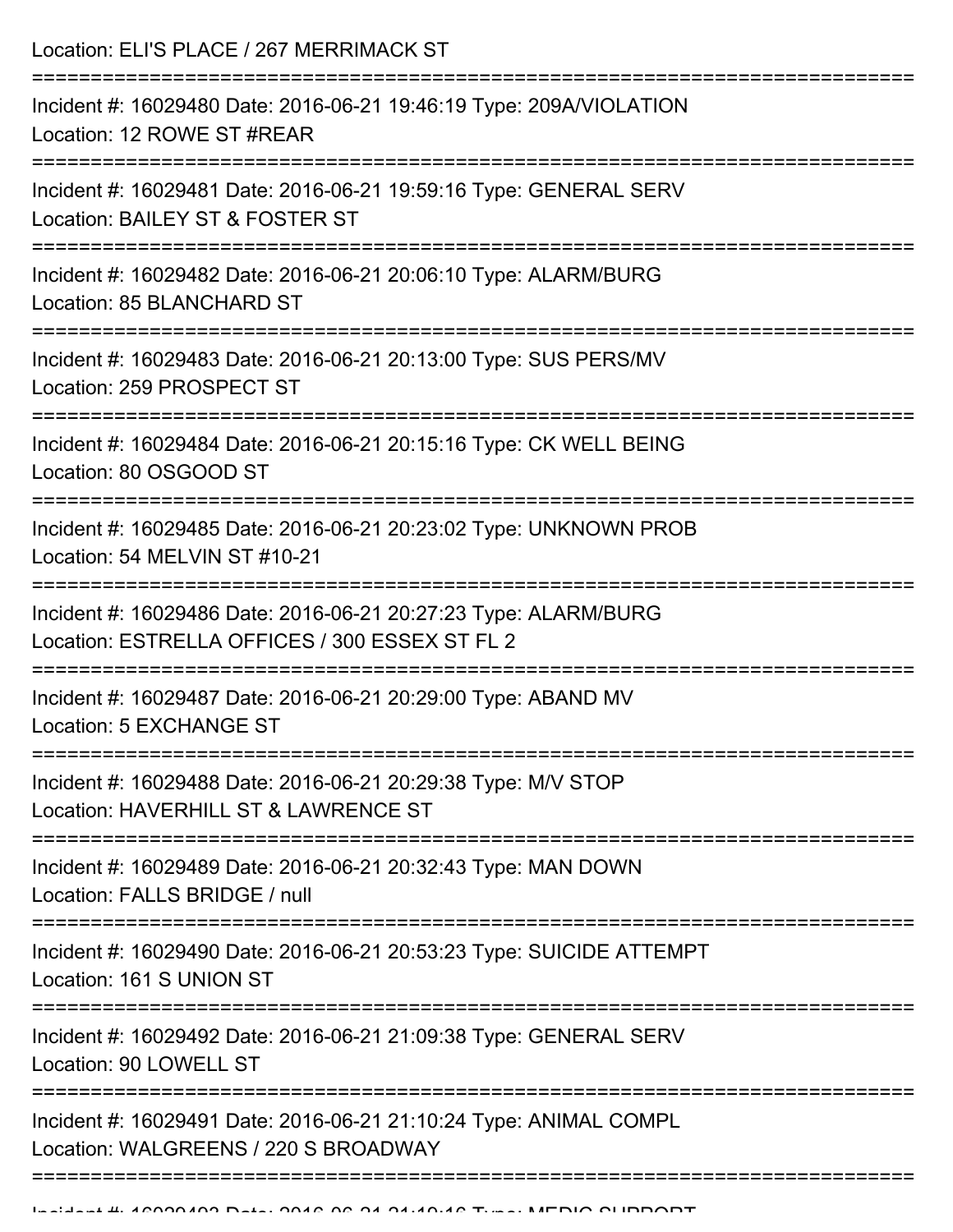| Location: ELI'S PLACE / 267 MERRIMACK ST                                                                                  |
|---------------------------------------------------------------------------------------------------------------------------|
| Incident #: 16029480 Date: 2016-06-21 19:46:19 Type: 209A/VIOLATION<br>Location: 12 ROWE ST #REAR                         |
| Incident #: 16029481 Date: 2016-06-21 19:59:16 Type: GENERAL SERV<br>Location: BAILEY ST & FOSTER ST                      |
| Incident #: 16029482 Date: 2016-06-21 20:06:10 Type: ALARM/BURG<br>Location: 85 BLANCHARD ST<br>========================= |
| Incident #: 16029483 Date: 2016-06-21 20:13:00 Type: SUS PERS/MV<br>Location: 259 PROSPECT ST                             |
| Incident #: 16029484 Date: 2016-06-21 20:15:16 Type: CK WELL BEING<br>Location: 80 OSGOOD ST                              |
| Incident #: 16029485 Date: 2016-06-21 20:23:02 Type: UNKNOWN PROB<br>Location: 54 MELVIN ST #10-21                        |
| Incident #: 16029486 Date: 2016-06-21 20:27:23 Type: ALARM/BURG<br>Location: ESTRELLA OFFICES / 300 ESSEX ST FL 2         |
| Incident #: 16029487 Date: 2016-06-21 20:29:00 Type: ABAND MV<br>Location: 5 EXCHANGE ST                                  |
| Incident #: 16029488 Date: 2016-06-21 20:29:38 Type: M/V STOP<br>Location: HAVERHILL ST & LAWRENCE ST                     |
| Incident #: 16029489 Date: 2016-06-21 20:32:43 Type: MAN DOWN<br>Location: FALLS BRIDGE / null                            |
| Incident #: 16029490 Date: 2016-06-21 20:53:23 Type: SUICIDE ATTEMPT<br>Location: 161 S UNION ST                          |
| Incident #: 16029492 Date: 2016-06-21 21:09:38 Type: GENERAL SERV<br>Location: 90 LOWELL ST                               |
| Incident #: 16029491 Date: 2016-06-21 21:10:24 Type: ANIMAL COMPL<br>Location: WALGREENS / 220 S BROADWAY                 |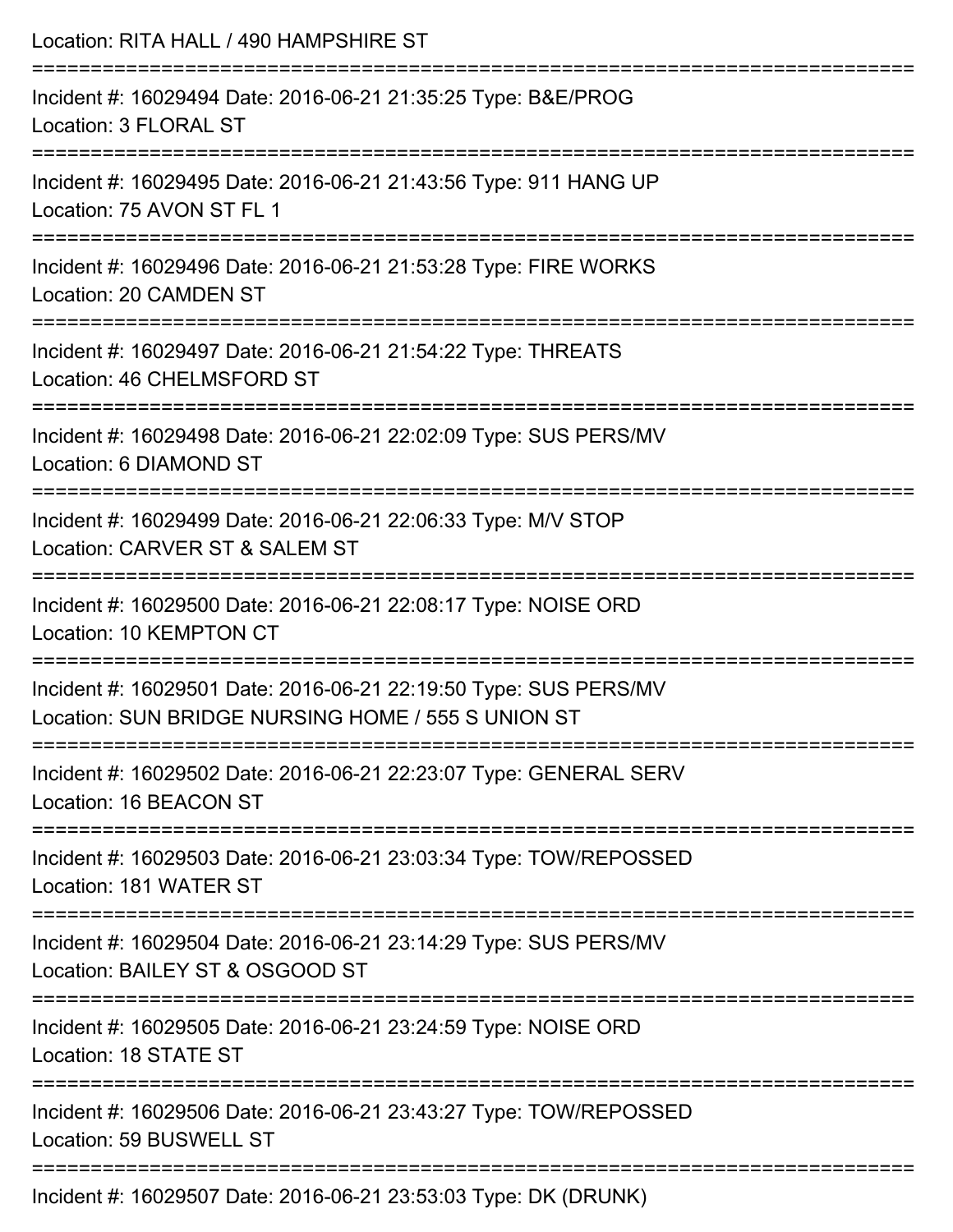| Location: RITA HALL / 490 HAMPSHIRE ST                                                                                 |
|------------------------------------------------------------------------------------------------------------------------|
| Incident #: 16029494 Date: 2016-06-21 21:35:25 Type: B&E/PROG<br>Location: 3 FLORAL ST                                 |
| Incident #: 16029495 Date: 2016-06-21 21:43:56 Type: 911 HANG UP<br>Location: 75 AVON ST FL 1                          |
| Incident #: 16029496 Date: 2016-06-21 21:53:28 Type: FIRE WORKS<br>Location: 20 CAMDEN ST                              |
| Incident #: 16029497 Date: 2016-06-21 21:54:22 Type: THREATS<br>Location: 46 CHELMSFORD ST                             |
| Incident #: 16029498 Date: 2016-06-21 22:02:09 Type: SUS PERS/MV<br>Location: 6 DIAMOND ST                             |
| Incident #: 16029499 Date: 2016-06-21 22:06:33 Type: M/V STOP<br>Location: CARVER ST & SALEM ST                        |
| Incident #: 16029500 Date: 2016-06-21 22:08:17 Type: NOISE ORD<br>Location: 10 KEMPTON CT                              |
| Incident #: 16029501 Date: 2016-06-21 22:19:50 Type: SUS PERS/MV<br>Location: SUN BRIDGE NURSING HOME / 555 S UNION ST |
| Incident #: 16029502 Date: 2016-06-21 22:23:07 Type: GENERAL SERV<br>Location: 16 BEACON ST                            |
| Incident #: 16029503 Date: 2016-06-21 23:03:34 Type: TOW/REPOSSED<br>Location: 181 WATER ST                            |
| Incident #: 16029504 Date: 2016-06-21 23:14:29 Type: SUS PERS/MV<br>Location: BAILEY ST & OSGOOD ST                    |
| Incident #: 16029505 Date: 2016-06-21 23:24:59 Type: NOISE ORD<br>Location: 18 STATE ST                                |
| Incident #: 16029506 Date: 2016-06-21 23:43:27 Type: TOW/REPOSSED<br>Location: 59 BUSWELL ST                           |
| Incident #: 16029507 Date: 2016-06-21 23:53:03 Type: DK (DRUNK)                                                        |